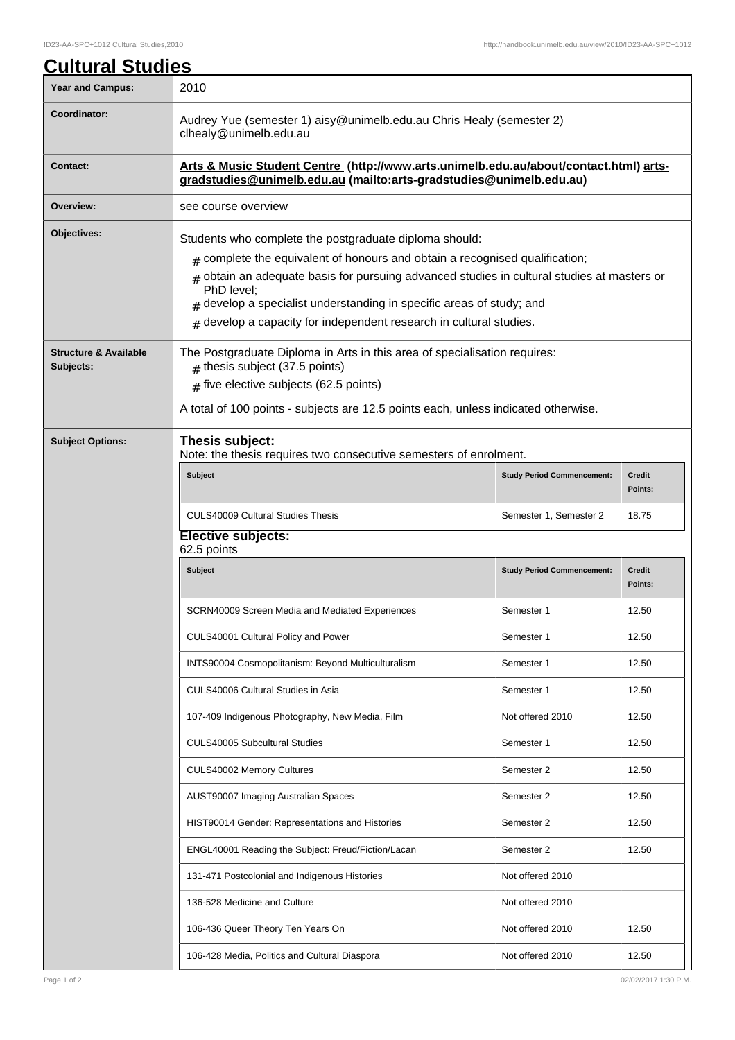| <b>Cultural Studies</b>                       |                                                                                                                                                                                                                                                                                                                                                                                                             |                                   |                          |  |  |  |
|-----------------------------------------------|-------------------------------------------------------------------------------------------------------------------------------------------------------------------------------------------------------------------------------------------------------------------------------------------------------------------------------------------------------------------------------------------------------------|-----------------------------------|--------------------------|--|--|--|
| <b>Year and Campus:</b>                       | 2010                                                                                                                                                                                                                                                                                                                                                                                                        |                                   |                          |  |  |  |
| Coordinator:                                  | Audrey Yue (semester 1) aisy@unimelb.edu.au Chris Healy (semester 2)<br>clhealy@unimelb.edu.au                                                                                                                                                                                                                                                                                                              |                                   |                          |  |  |  |
| <b>Contact:</b>                               | Arts & Music Student Centre (http://www.arts.unimelb.edu.au/about/contact.html) arts-<br>gradstudies@unimelb.edu.au (mailto:arts-gradstudies@unimelb.edu.au)                                                                                                                                                                                                                                                |                                   |                          |  |  |  |
| Overview:                                     | see course overview                                                                                                                                                                                                                                                                                                                                                                                         |                                   |                          |  |  |  |
| Objectives:                                   | Students who complete the postgraduate diploma should:<br>$#$ complete the equivalent of honours and obtain a recognised qualification;<br>$_{\#}$ obtain an adequate basis for pursuing advanced studies in cultural studies at masters or<br>PhD level;<br>$#$ develop a specialist understanding in specific areas of study; and<br>$#$ develop a capacity for independent research in cultural studies. |                                   |                          |  |  |  |
| <b>Structure &amp; Available</b><br>Subjects: | The Postgraduate Diploma in Arts in this area of specialisation requires:<br>$#$ thesis subject (37.5 points)<br>$#$ five elective subjects (62.5 points)                                                                                                                                                                                                                                                   |                                   |                          |  |  |  |
|                                               | A total of 100 points - subjects are 12.5 points each, unless indicated otherwise.                                                                                                                                                                                                                                                                                                                          |                                   |                          |  |  |  |
| <b>Subject Options:</b>                       | Thesis subject:<br>Note: the thesis requires two consecutive semesters of enrolment.                                                                                                                                                                                                                                                                                                                        |                                   |                          |  |  |  |
|                                               | <b>Subject</b>                                                                                                                                                                                                                                                                                                                                                                                              | <b>Study Period Commencement:</b> | <b>Credit</b><br>Points: |  |  |  |
|                                               | <b>CULS40009 Cultural Studies Thesis</b>                                                                                                                                                                                                                                                                                                                                                                    | Semester 1, Semester 2            | 18.75                    |  |  |  |
|                                               | Elective subjects:<br>62.5 points                                                                                                                                                                                                                                                                                                                                                                           |                                   |                          |  |  |  |
|                                               | <b>Subject</b>                                                                                                                                                                                                                                                                                                                                                                                              | <b>Study Period Commencement:</b> | <b>Credit</b><br>Points: |  |  |  |
|                                               | SCRN40009 Screen Media and Mediated Experiences                                                                                                                                                                                                                                                                                                                                                             | Semester 1                        | 12.50                    |  |  |  |
|                                               | CULS40001 Cultural Policy and Power                                                                                                                                                                                                                                                                                                                                                                         | Semester 1                        | 12.50                    |  |  |  |
|                                               | INTS90004 Cosmopolitanism: Beyond Multiculturalism                                                                                                                                                                                                                                                                                                                                                          | Semester 1                        | 12.50                    |  |  |  |
|                                               | CULS40006 Cultural Studies in Asia                                                                                                                                                                                                                                                                                                                                                                          | Semester 1                        | 12.50                    |  |  |  |
|                                               | 107-409 Indigenous Photography, New Media, Film                                                                                                                                                                                                                                                                                                                                                             | Not offered 2010                  | 12.50                    |  |  |  |
|                                               | <b>CULS40005 Subcultural Studies</b>                                                                                                                                                                                                                                                                                                                                                                        | Semester 1                        | 12.50                    |  |  |  |
|                                               | CULS40002 Memory Cultures                                                                                                                                                                                                                                                                                                                                                                                   | Semester 2                        | 12.50                    |  |  |  |
|                                               | AUST90007 Imaging Australian Spaces                                                                                                                                                                                                                                                                                                                                                                         | Semester 2                        | 12.50                    |  |  |  |
|                                               | HIST90014 Gender: Representations and Histories                                                                                                                                                                                                                                                                                                                                                             | Semester 2                        | 12.50                    |  |  |  |
|                                               | ENGL40001 Reading the Subject: Freud/Fiction/Lacan                                                                                                                                                                                                                                                                                                                                                          | Semester 2                        | 12.50                    |  |  |  |
|                                               | 131-471 Postcolonial and Indigenous Histories                                                                                                                                                                                                                                                                                                                                                               | Not offered 2010                  |                          |  |  |  |
|                                               | 136-528 Medicine and Culture                                                                                                                                                                                                                                                                                                                                                                                | Not offered 2010                  |                          |  |  |  |
|                                               | 106-436 Queer Theory Ten Years On                                                                                                                                                                                                                                                                                                                                                                           | Not offered 2010                  | 12.50                    |  |  |  |
|                                               | 106-428 Media, Politics and Cultural Diaspora                                                                                                                                                                                                                                                                                                                                                               | Not offered 2010                  | 12.50                    |  |  |  |

Ш